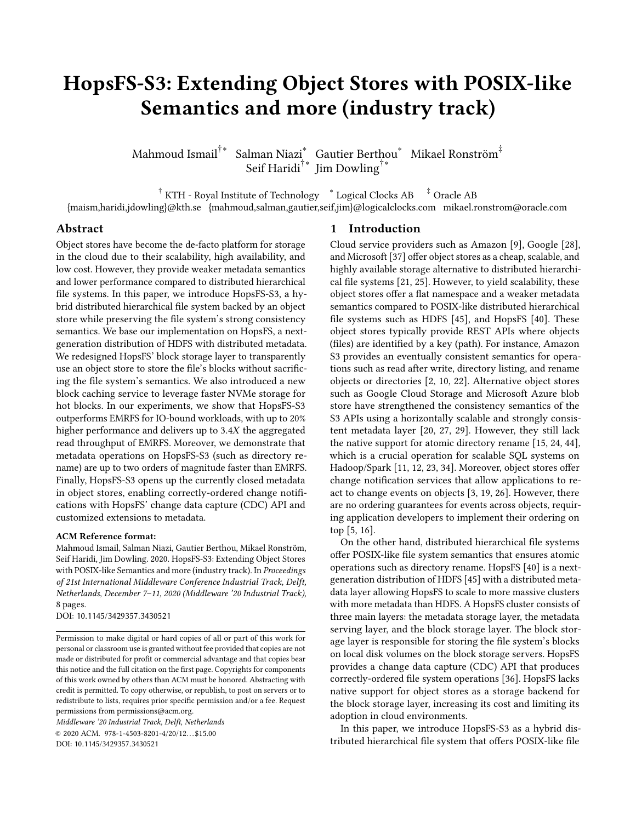# HopsFS-S3: Extending Object Stores with POSIX-like Semantics and more (industry track)

Mahmoud Ismail $^{\dagger *}$  Salman Niazi $^*$  Gautier Berthou $^*$  Mikael Ronström $^{\ddagger}$ Seif Haridi†∗ Jim Dowling†∗

 $^\dagger$  KTH - Royal Institute of Technology  $\;\;\;^*$  Logical Clocks AB  $\;\;\;$   $^\ddag$  Oracle AB

{maism,haridi,jdowling}@kth.se {mahmoud,salman,gautier,seif,jim}@logicalclocks.com mikael.ronstrom@oracle.com

# Abstract

Object stores have become the de-facto platform for storage in the cloud due to their scalability, high availability, and low cost. However, they provide weaker metadata semantics and lower performance compared to distributed hierarchical file systems. In this paper, we introduce HopsFS-S3, a hybrid distributed hierarchical file system backed by an object store while preserving the file system's strong consistency semantics. We base our implementation on HopsFS, a nextgeneration distribution of HDFS with distributed metadata. We redesigned HopsFS' block storage layer to transparently use an object store to store the file's blocks without sacrificing the file system's semantics. We also introduced a new block caching service to leverage faster NVMe storage for hot blocks. In our experiments, we show that HopsFS-S3 outperforms EMRFS for IO-bound workloads, with up to 20% higher performance and delivers up to  $3.4X$  the aggregated read throughput of EMRFS. Moreover, we demonstrate that metadata operations on HopsFS-S3 (such as directory rename) are up to two orders of magnitude faster than EMRFS. Finally, HopsFS-S3 opens up the currently closed metadata in object stores, enabling correctly-ordered change notifications with HopsFS' change data capture (CDC) API and customized extensions to metadata.

#### ACM Reference format:

Mahmoud Ismail, Salman Niazi, Gautier Berthou, Mikael Ronström, Seif Haridi, Jim Dowling. 2020. HopsFS-S3: Extending Object Stores with POSIX-like Semantics and more (industry track). In Proceedings of 21st International Middleware Conference Industrial Track, Delft, Netherlands, December 7–11, 2020 (Middleware '20 Industrial Track), [8](#page-7-0) pages.

DOI: 10.1145/3429357.3430521

Permission to make digital or hard copies of all or part of this work for personal or classroom use is granted without fee provided that copies are not made or distributed for profit or commercial advantage and that copies bear this notice and the full citation on the first page. Copyrights for components of this work owned by others than ACM must be honored. Abstracting with credit is permitted. To copy otherwise, or republish, to post on servers or to redistribute to lists, requires prior specific permission and/or a fee. Request permissions from permissions@acm.org.

Middleware '20 Industrial Track, Delft, Netherlands © 2020 ACM. 978-1-4503-8201-4/20/12. . . \$15.00 DOI: 10.1145/3429357.3430521

#### 1 Introduction

Cloud service providers such as Amazon [\[9\]](#page-6-0), Google [\[28\]](#page-6-1), and Microsoft [\[37\]](#page-6-2) offer object stores as a cheap, scalable, and highly available storage alternative to distributed hierarchical file systems [\[21,](#page-6-3) [25\]](#page-6-4). However, to yield scalability, these object stores offer a flat namespace and a weaker metadata semantics compared to POSIX-like distributed hierarchical file systems such as HDFS [\[45\]](#page-7-1), and HopsFS [\[40\]](#page-7-2). These object stores typically provide REST APIs where objects (files) are identified by a key (path). For instance, Amazon S3 provides an eventually consistent semantics for operations such as read after write, directory listing, and rename objects or directories [\[2,](#page-6-5) [10,](#page-6-6) [22\]](#page-6-7). Alternative object stores such as Google Cloud Storage and Microsoft Azure blob store have strengthened the consistency semantics of the S3 APIs using a horizontally scalable and strongly consistent metadata layer [\[20,](#page-6-8) [27,](#page-6-9) [29\]](#page-6-10). However, they still lack the native support for atomic directory rename [\[15,](#page-6-11) [24,](#page-6-12) [44\]](#page-7-3), which is a crucial operation for scalable SQL systems on Hadoop/Spark [\[11,](#page-6-13) [12,](#page-6-14) [23,](#page-6-15) [34\]](#page-6-16). Moreover, object stores offer change notification services that allow applications to react to change events on objects [\[3,](#page-6-17) [19,](#page-6-18) [26\]](#page-6-19). However, there are no ordering guarantees for events across objects, requiring application developers to implement their ordering on top [\[5,](#page-6-20) [16\]](#page-6-21).

On the other hand, distributed hierarchical file systems offer POSIX-like file system semantics that ensures atomic operations such as directory rename. HopsFS [\[40\]](#page-7-2) is a nextgeneration distribution of HDFS [\[45\]](#page-7-1) with a distributed metadata layer allowing HopsFS to scale to more massive clusters with more metadata than HDFS. A HopsFS cluster consists of three main layers: the metadata storage layer, the metadata serving layer, and the block storage layer. The block storage layer is responsible for storing the file system's blocks on local disk volumes on the block storage servers. HopsFS provides a change data capture (CDC) API that produces correctly-ordered file system operations [\[36\]](#page-6-22). HopsFS lacks native support for object stores as a storage backend for the block storage layer, increasing its cost and limiting its adoption in cloud environments.

In this paper, we introduce HopsFS-S3 as a hybrid distributed hierarchical file system that offers POSIX-like file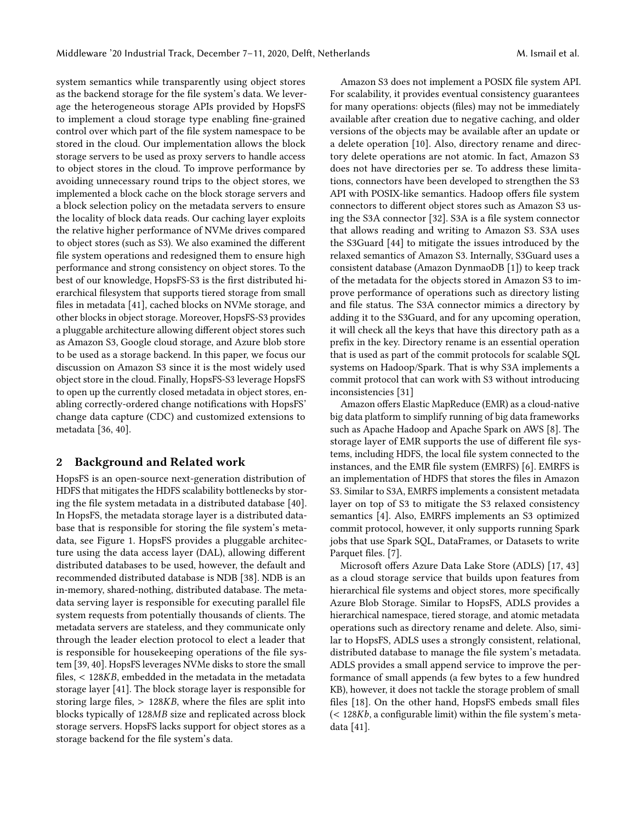system semantics while transparently using object stores as the backend storage for the file system's data. We leverage the heterogeneous storage APIs provided by HopsFS to implement a cloud storage type enabling fine-grained control over which part of the file system namespace to be stored in the cloud. Our implementation allows the block storage servers to be used as proxy servers to handle access to object stores in the cloud. To improve performance by avoiding unnecessary round trips to the object stores, we implemented a block cache on the block storage servers and a block selection policy on the metadata servers to ensure the locality of block data reads. Our caching layer exploits the relative higher performance of NVMe drives compared to object stores (such as S3). We also examined the different file system operations and redesigned them to ensure high performance and strong consistency on object stores. To the best of our knowledge, HopsFS-S3 is the first distributed hierarchical filesystem that supports tiered storage from small files in metadata [\[41\]](#page-7-4), cached blocks on NVMe storage, and other blocks in object storage. Moreover, HopsFS-S3 provides a pluggable architecture allowing different object stores such as Amazon S3, Google cloud storage, and Azure blob store to be used as a storage backend. In this paper, we focus our discussion on Amazon S3 since it is the most widely used object store in the cloud. Finally, HopsFS-S3 leverage HopsFS to open up the currently closed metadata in object stores, enabling correctly-ordered change notifications with HopsFS' change data capture (CDC) and customized extensions to metadata [\[36,](#page-6-22) [40\]](#page-7-2).

## 2 Background and Related work

HopsFS is an open-source next-generation distribution of HDFS that mitigates the HDFS scalability bottlenecks by storing the file system metadata in a distributed database [\[40\]](#page-7-2). In HopsFS, the metadata storage layer is a distributed database that is responsible for storing the file system's metadata, see Figure [1.](#page-2-0) HopsFS provides a pluggable architecture using the data access layer (DAL), allowing different distributed databases to be used, however, the default and recommended distributed database is NDB [\[38\]](#page-6-23). NDB is an in-memory, shared-nothing, distributed database. The metadata serving layer is responsible for executing parallel file system requests from potentially thousands of clients. The metadata servers are stateless, and they communicate only through the leader election protocol to elect a leader that is responsible for housekeeping operations of the file system [\[39,](#page-6-24) [40\]](#page-7-2). HopsFS leverages NVMe disks to store the small files,  $<$  128KB, embedded in the metadata in the metadata storage layer [\[41\]](#page-7-4). The block storage layer is responsible for storing large files,  $> 128KB$ , where the files are split into blocks typically of 128MB size and replicated across block storage servers. HopsFS lacks support for object stores as a storage backend for the file system's data.

Amazon S3 does not implement a POSIX file system API. For scalability, it provides eventual consistency guarantees for many operations: objects (files) may not be immediately available after creation due to negative caching, and older versions of the objects may be available after an update or a delete operation [\[10\]](#page-6-6). Also, directory rename and directory delete operations are not atomic. In fact, Amazon S3 does not have directories per se. To address these limitations, connectors have been developed to strengthen the S3 API with POSIX-like semantics. Hadoop offers file system connectors to different object stores such as Amazon S3 using the S3A connector [\[32\]](#page-6-25). S3A is a file system connector that allows reading and writing to Amazon S3. S3A uses the S3Guard [\[44\]](#page-7-3) to mitigate the issues introduced by the relaxed semantics of Amazon S3. Internally, S3Guard uses a consistent database (Amazon DynmaoDB [\[1\]](#page-6-26)) to keep track of the metadata for the objects stored in Amazon S3 to improve performance of operations such as directory listing and file status. The S3A connector mimics a directory by adding it to the S3Guard, and for any upcoming operation, it will check all the keys that have this directory path as a prefix in the key. Directory rename is an essential operation that is used as part of the commit protocols for scalable SQL systems on Hadoop/Spark. That is why S3A implements a commit protocol that can work with S3 without introducing inconsistencies [\[31\]](#page-6-27)

Amazon offers Elastic MapReduce (EMR) as a cloud-native big data platform to simplify running of big data frameworks such as Apache Hadoop and Apache Spark on AWS [\[8\]](#page-6-28). The storage layer of EMR supports the use of different file systems, including HDFS, the local file system connected to the instances, and the EMR file system (EMRFS) [\[6\]](#page-6-29). EMRFS is an implementation of HDFS that stores the files in Amazon S3. Similar to S3A, EMRFS implements a consistent metadata layer on top of S3 to mitigate the S3 relaxed consistency semantics [\[4\]](#page-6-30). Also, EMRFS implements an S3 optimized commit protocol, however, it only supports running Spark jobs that use Spark SQL, DataFrames, or Datasets to write Parquet files. [\[7\]](#page-6-31).

Microsoft offers Azure Data Lake Store (ADLS) [\[17,](#page-6-32) [43\]](#page-7-5) as a cloud storage service that builds upon features from hierarchical file systems and object stores, more specifically Azure Blob Storage. Similar to HopsFS, ADLS provides a hierarchical namespace, tiered storage, and atomic metadata operations such as directory rename and delete. Also, similar to HopsFS, ADLS uses a strongly consistent, relational, distributed database to manage the file system's metadata. ADLS provides a small append service to improve the performance of small appends (a few bytes to a few hundred KB), however, it does not tackle the storage problem of small files [\[18\]](#page-6-33). On the other hand, HopsFS embeds small files  $(<$  128 $Kb$ , a configurable limit) within the file system's metadata [\[41\]](#page-7-4).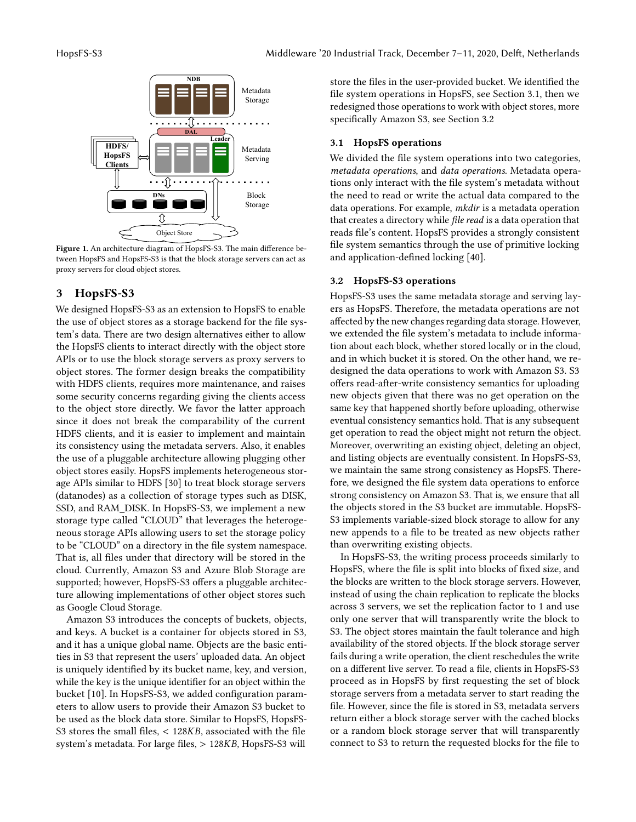<span id="page-2-0"></span>

Figure 1. An architecture diagram of HopsFS-S3. The main difference between HopsFS and HopsFS-S3 is that the block storage servers can act as proxy servers for cloud object stores.

# 3 HopsFS-S3

We designed HopsFS-S3 as an extension to HopsFS to enable the use of object stores as a storage backend for the file system's data. There are two design alternatives either to allow the HopsFS clients to interact directly with the object store APIs or to use the block storage servers as proxy servers to object stores. The former design breaks the compatibility with HDFS clients, requires more maintenance, and raises some security concerns regarding giving the clients access to the object store directly. We favor the latter approach since it does not break the comparability of the current HDFS clients, and it is easier to implement and maintain its consistency using the metadata servers. Also, it enables the use of a pluggable architecture allowing plugging other object stores easily. HopsFS implements heterogeneous storage APIs similar to HDFS [\[30\]](#page-6-34) to treat block storage servers (datanodes) as a collection of storage types such as DISK, SSD, and RAM\_DISK. In HopsFS-S3, we implement a new storage type called "CLOUD" that leverages the heterogeneous storage APIs allowing users to set the storage policy to be "CLOUD" on a directory in the file system namespace. That is, all files under that directory will be stored in the cloud. Currently, Amazon S3 and Azure Blob Storage are supported; however, HopsFS-S3 offers a pluggable architecture allowing implementations of other object stores such as Google Cloud Storage.

Amazon S3 introduces the concepts of buckets, objects, and keys. A bucket is a container for objects stored in S3, and it has a unique global name. Objects are the basic entities in S3 that represent the users' uploaded data. An object is uniquely identified by its bucket name, key, and version, while the key is the unique identifier for an object within the bucket [\[10\]](#page-6-6). In HopsFS-S3, we added configuration parameters to allow users to provide their Amazon S3 bucket to be used as the block data store. Similar to HopsFS, HopsFS-S3 stores the small files,  $<$  128KB, associated with the file system's metadata. For large files,  $> 128KB$ , HopsFS-S3 will

store the files in the user-provided bucket. We identified the file system operations in HopsFS, see Section [3.1,](#page-2-1) then we redesigned those operations to work with object stores, more specifically Amazon S3, see Section [3.2](#page-2-2)

#### <span id="page-2-1"></span>3.1 HopsFS operations

We divided the file system operations into two categories, metadata operations, and data operations. Metadata operations only interact with the file system's metadata without the need to read or write the actual data compared to the data operations. For example, mkdir is a metadata operation that creates a directory while file read is a data operation that reads file's content. HopsFS provides a strongly consistent file system semantics through the use of primitive locking and application-defined locking [\[40\]](#page-7-2).

#### <span id="page-2-2"></span>3.2 HopsFS-S3 operations

HopsFS-S3 uses the same metadata storage and serving layers as HopsFS. Therefore, the metadata operations are not affected by the new changes regarding data storage. However, we extended the file system's metadata to include information about each block, whether stored locally or in the cloud, and in which bucket it is stored. On the other hand, we redesigned the data operations to work with Amazon S3. S3 offers read-after-write consistency semantics for uploading new objects given that there was no get operation on the same key that happened shortly before uploading, otherwise eventual consistency semantics hold. That is any subsequent get operation to read the object might not return the object. Moreover, overwriting an existing object, deleting an object, and listing objects are eventually consistent. In HopsFS-S3, we maintain the same strong consistency as HopsFS. Therefore, we designed the file system data operations to enforce strong consistency on Amazon S3. That is, we ensure that all the objects stored in the S3 bucket are immutable. HopsFS-S3 implements variable-sized block storage to allow for any new appends to a file to be treated as new objects rather than overwriting existing objects.

In HopsFS-S3, the writing process proceeds similarly to HopsFS, where the file is split into blocks of fixed size, and the blocks are written to the block storage servers. However, instead of using the chain replication to replicate the blocks across 3 servers, we set the replication factor to 1 and use only one server that will transparently write the block to S3. The object stores maintain the fault tolerance and high availability of the stored objects. If the block storage server fails during a write operation, the client reschedules the write on a different live server. To read a file, clients in HopsFS-S3 proceed as in HopsFS by first requesting the set of block storage servers from a metadata server to start reading the file. However, since the file is stored in S3, metadata servers return either a block storage server with the cached blocks or a random block storage server that will transparently connect to S3 to return the requested blocks for the file to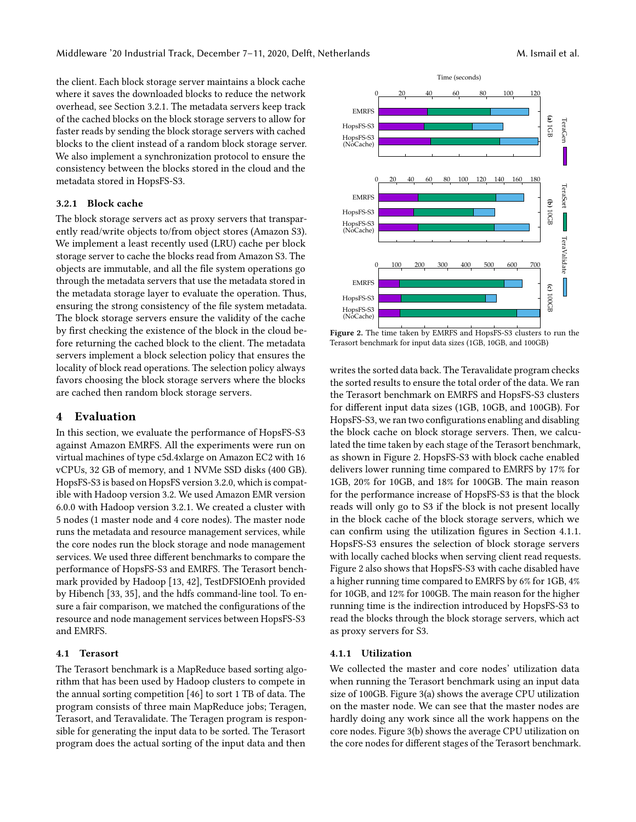the client. Each block storage server maintains a block cache where it saves the downloaded blocks to reduce the network overhead, see Section [3.2.1.](#page-3-0) The metadata servers keep track of the cached blocks on the block storage servers to allow for faster reads by sending the block storage servers with cached blocks to the client instead of a random block storage server. We also implement a synchronization protocol to ensure the consistency between the blocks stored in the cloud and the metadata stored in HopsFS-S3.

#### <span id="page-3-0"></span>3.2.1 Block cache

The block storage servers act as proxy servers that transparently read/write objects to/from object stores (Amazon S3). We implement a least recently used (LRU) cache per block storage server to cache the blocks read from Amazon S3. The objects are immutable, and all the file system operations go through the metadata servers that use the metadata stored in the metadata storage layer to evaluate the operation. Thus, ensuring the strong consistency of the file system metadata. The block storage servers ensure the validity of the cache by first checking the existence of the block in the cloud before returning the cached block to the client. The metadata servers implement a block selection policy that ensures the locality of block read operations. The selection policy always favors choosing the block storage servers where the blocks are cached then random block storage servers.

### 4 Evaluation

In this section, we evaluate the performance of HopsFS-S3 against Amazon EMRFS. All the experiments were run on virtual machines of type c5d.4xlarge on Amazon EC2 with 16 vCPUs, 32 GB of memory, and 1 NVMe SSD disks (400 GB). HopsFS-S3 is based on HopsFS version 3.2.0, which is compatible with Hadoop version 3.2. We used Amazon EMR version 6.0.0 with Hadoop version 3.2.1. We created a cluster with 5 nodes (1 master node and 4 core nodes). The master node runs the metadata and resource management services, while the core nodes run the block storage and node management services. We used three different benchmarks to compare the performance of HopsFS-S3 and EMRFS. The Terasort benchmark provided by Hadoop [\[13,](#page-6-35) [42\]](#page-7-6), TestDFSIOEnh provided by Hibench [\[33,](#page-6-36) [35\]](#page-6-37), and the hdfs command-line tool. To ensure a fair comparison, we matched the configurations of the resource and node management services between HopsFS-S3 and EMRFS.

#### 4.1 Terasort

The Terasort benchmark is a MapReduce based sorting algorithm that has been used by Hadoop clusters to compete in the annual sorting competition [\[46\]](#page-7-7) to sort 1 TB of data. The program consists of three main MapReduce jobs; Teragen, Terasort, and Teravalidate. The Teragen program is responsible for generating the input data to be sorted. The Terasort program does the actual sorting of the input data and then

<span id="page-3-1"></span>

Figure 2. The time taken by EMRFS and HopsFS-S3 clusters to run the Terasort benchmark for input data sizes (1GB, 10GB, and 100GB)

writes the sorted data back. The Teravalidate program checks the sorted results to ensure the total order of the data. We ran the Terasort benchmark on EMRFS and HopsFS-S3 clusters for different input data sizes (1GB, 10GB, and 100GB). For HopsFS-S3, we ran two configurations enabling and disabling the block cache on block storage servers. Then, we calculated the time taken by each stage of the Terasort benchmark, as shown in Figure [2.](#page-3-1) HopsFS-S3 with block cache enabled delivers lower running time compared to EMRFS by 17% for 1GB, 20% for 10GB, and 18% for 100GB. The main reason for the performance increase of HopsFS-S3 is that the block reads will only go to S3 if the block is not present locally in the block cache of the block storage servers, which we can confirm using the utilization figures in Section [4.1.1.](#page-3-2) HopsFS-S3 ensures the selection of block storage servers with locally cached blocks when serving client read requests. Figure [2](#page-3-1) also shows that HopsFS-S3 with cache disabled have a higher running time compared to EMRFS by 6% for 1GB, 4% for 10GB, and 12% for 100GB. The main reason for the higher running time is the indirection introduced by HopsFS-S3 to read the blocks through the block storage servers, which act as proxy servers for S3.

#### <span id="page-3-2"></span>4.1.1 Utilization

We collected the master and core nodes' utilization data when running the Terasort benchmark using an input data size of 100GB. Figure [3\(](#page-4-0)a) shows the average CPU utilization on the master node. We can see that the master nodes are hardly doing any work since all the work happens on the core nodes. Figure [3\(](#page-4-0)b) shows the average CPU utilization on the core nodes for different stages of the Terasort benchmark.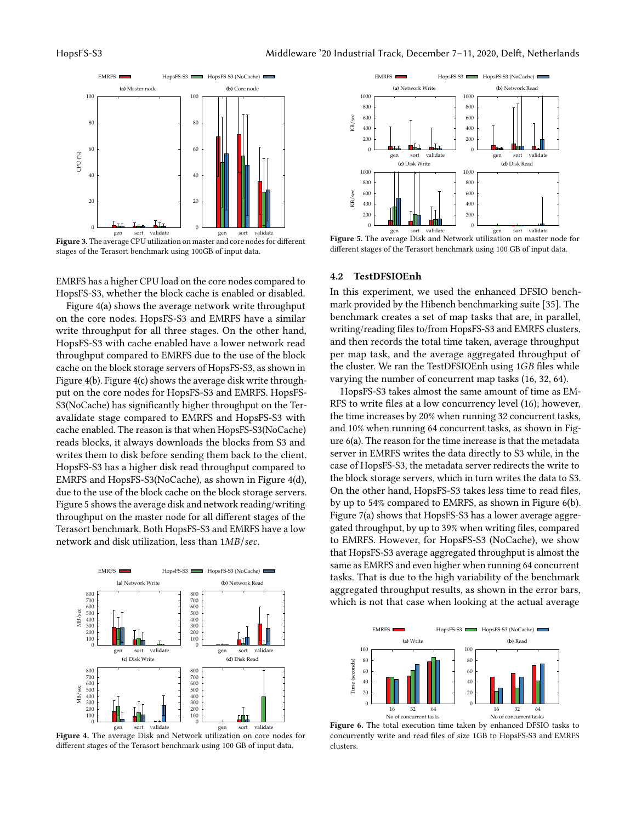<span id="page-4-0"></span>

Figure 3. The average CPU utilization on master and core nodes for different stages of the Terasort benchmark using 100GB of input data.

EMRFS has a higher CPU load on the core nodes compared to HopsFS-S3, whether the block cache is enabled or disabled.

Figure [4\(](#page-4-1)a) shows the average network write throughput on the core nodes. HopsFS-S3 and EMRFS have a similar write throughput for all three stages. On the other hand, HopsFS-S3 with cache enabled have a lower network read throughput compared to EMRFS due to the use of the block cache on the block storage servers of HopsFS-S3, as shown in Figure [4\(](#page-4-1)b). Figure [4\(](#page-4-1)c) shows the average disk write throughput on the core nodes for HopsFS-S3 and EMRFS. HopsFS-S3(NoCache) has significantly higher throughput on the Teravalidate stage compared to EMRFS and HopsFS-S3 with cache enabled. The reason is that when HopsFS-S3(NoCache) reads blocks, it always downloads the blocks from S3 and writes them to disk before sending them back to the client. HopsFS-S3 has a higher disk read throughput compared to EMRFS and HopsFS-S3(NoCache), as shown in Figure [4\(](#page-4-1)d), due to the use of the block cache on the block storage servers. Figure [5](#page-4-2) shows the average disk and network reading/writing throughput on the master node for all different stages of the Terasort benchmark. Both HopsFS-S3 and EMRFS have a low network and disk utilization, less than  $1MB/sec$ .

<span id="page-4-1"></span>



<span id="page-4-2"></span>

Figure 5. The average Disk and Network utilization on master node for different stages of the Terasort benchmark using 100 GB of input data.

#### 4.2 TestDFSIOEnh

In this experiment, we used the enhanced DFSIO benchmark provided by the Hibench benchmarking suite [\[35\]](#page-6-37). The benchmark creates a set of map tasks that are, in parallel, writing/reading files to/from HopsFS-S3 and EMRFS clusters, and then records the total time taken, average throughput per map task, and the average aggregated throughput of the cluster. We ran the TestDFSIOEnh using  $1GB$  files while varying the number of concurrent map tasks (16, 32, 64).

HopsFS-S3 takes almost the same amount of time as EM-RFS to write files at a low concurrency level (16); however, the time increases by 20% when running 32 concurrent tasks, and 10% when running 64 concurrent tasks, as shown in Figure [6\(](#page-4-3)a). The reason for the time increase is that the metadata server in EMRFS writes the data directly to S3 while, in the case of HopsFS-S3, the metadata server redirects the write to the block storage servers, which in turn writes the data to S3. On the other hand, HopsFS-S3 takes less time to read files, by up to 54% compared to EMRFS, as shown in Figure [6\(](#page-4-3)b). Figure [7\(](#page-5-0)a) shows that HopsFS-S3 has a lower average aggregated throughput, by up to 39% when writing files, compared to EMRFS. However, for HopsFS-S3 (NoCache), we show that HopsFS-S3 average aggregated throughput is almost the same as EMRFS and even higher when running 64 concurrent tasks. That is due to the high variability of the benchmark aggregated throughput results, as shown in the error bars, which is not that case when looking at the actual average

<span id="page-4-3"></span>

Figure 6. The total execution time taken by enhanced DFSIO tasks to concurrently write and read files of size 1GB to HopsFS-S3 and EMRFS clusters.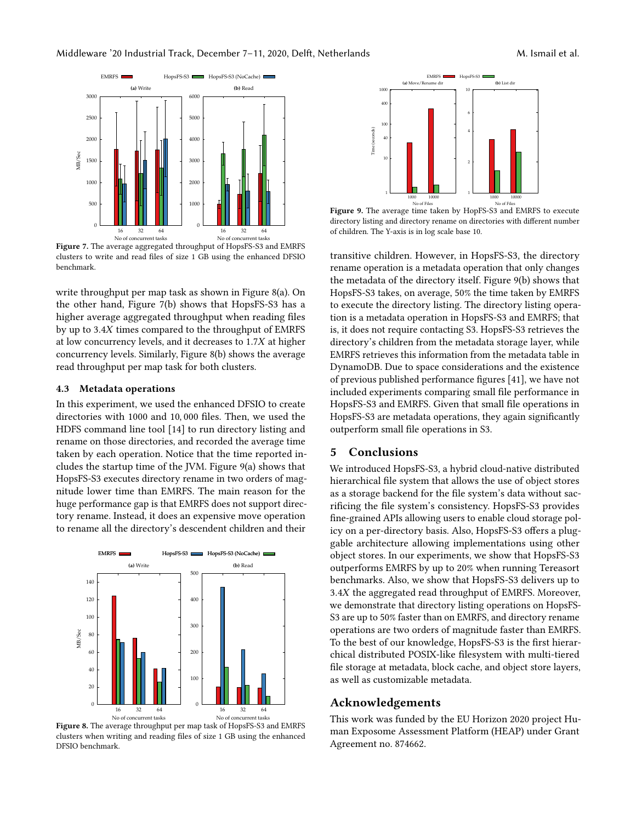<span id="page-5-0"></span>

Figure 7. The average aggregated throughput of HopsFS-S3 and EMRFS clusters to write and read files of size 1 GB using the enhanced DFSIO benchmark.

write throughput per map task as shown in Figure [8\(](#page-5-1)a). On the other hand, Figure [7\(](#page-5-0)b) shows that HopsFS-S3 has a higher average aggregated throughput when reading files by up to 3.4X times compared to the throughput of EMRFS at low concurrency levels, and it decreases to  $1.7X$  at higher concurrency levels. Similarly, Figure [8\(](#page-5-1)b) shows the average read throughput per map task for both clusters.

#### 4.3 Metadata operations

<span id="page-5-1"></span>In this experiment, we used the enhanced DFSIO to create directories with 1000 and 10, 000 files. Then, we used the HDFS command line tool [\[14\]](#page-6-38) to run directory listing and rename on those directories, and recorded the average time taken by each operation. Notice that the time reported includes the startup time of the JVM. Figure [9\(](#page-5-2)a) shows that HopsFS-S3 executes directory rename in two orders of magnitude lower time than EMRFS. The main reason for the huge performance gap is that EMRFS does not support directory rename. Instead, it does an expensive move operation to rename all the directory's descendent children and their



Figure 8. The average throughput per map task of HopsFS-S3 and EMRFS clusters when writing and reading files of size 1 GB using the enhanced

<span id="page-5-2"></span>

No of Files Figure 9. The average time taken by HopFS-S3 and EMRFS to execute directory listing and directory rename on directories with different number of children. The Y-axis is in log scale base 10.

transitive children. However, in HopsFS-S3, the directory rename operation is a metadata operation that only changes the metadata of the directory itself. Figure [9\(](#page-5-2)b) shows that HopsFS-S3 takes, on average, 50% the time taken by EMRFS to execute the directory listing. The directory listing operation is a metadata operation in HopsFS-S3 and EMRFS; that is, it does not require contacting S3. HopsFS-S3 retrieves the directory's children from the metadata storage layer, while EMRFS retrieves this information from the metadata table in DynamoDB. Due to space considerations and the existence of previous published performance figures [\[41\]](#page-7-4), we have not included experiments comparing small file performance in HopsFS-S3 and EMRFS. Given that small file operations in HopsFS-S3 are metadata operations, they again significantly outperform small file operations in S3.

### 5 Conclusions

We introduced HopsFS-S3, a hybrid cloud-native distributed hierarchical file system that allows the use of object stores as a storage backend for the file system's data without sacrificing the file system's consistency. HopsFS-S3 provides fine-grained APIs allowing users to enable cloud storage policy on a per-directory basis. Also, HopsFS-S3 offers a pluggable architecture allowing implementations using other object stores. In our experiments, we show that HopsFS-S3 outperforms EMRFS by up to 20% when running Tereasort benchmarks. Also, we show that HopsFS-S3 delivers up to 3.4X the aggregated read throughput of EMRFS. Moreover, we demonstrate that directory listing operations on HopsFS-S3 are up to 50% faster than on EMRFS, and directory rename operations are two orders of magnitude faster than EMRFS. To the best of our knowledge, HopsFS-S3 is the first hierarchical distributed POSIX-like filesystem with multi-tiered file storage at metadata, block cache, and object store layers, as well as customizable metadata.

## Acknowledgements

This work was funded by the EU Horizon 2020 project Human Exposome Assessment Platform (HEAP) under Grant Agreement no. 874662.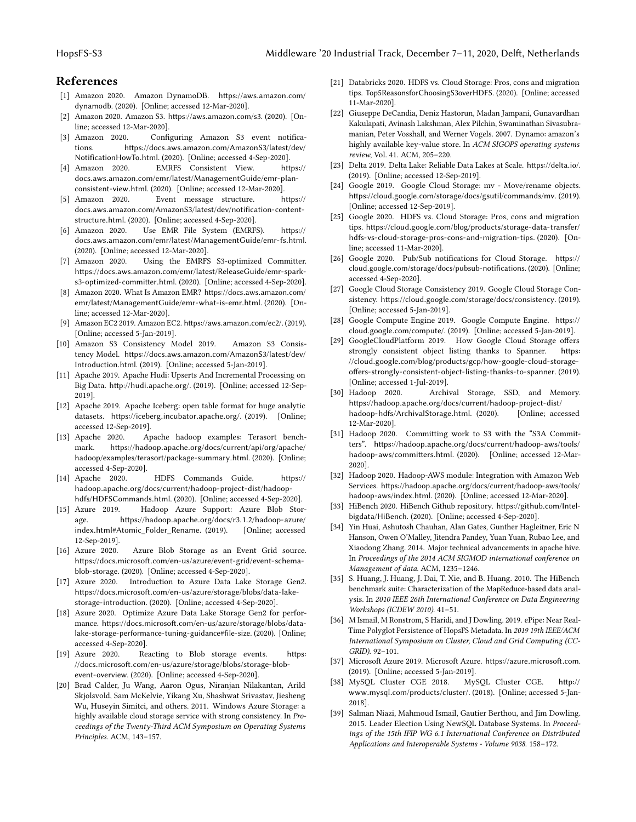# References

- <span id="page-6-26"></span>[1] Amazon 2020. Amazon DynamoDB. [https://aws](https://aws.amazon.com/dynamodb).amazon.com/ [dynamodb](https://aws.amazon.com/dynamodb). (2020). [Online; accessed 12-Mar-2020].
- <span id="page-6-5"></span>[2] Amazon 2020. Amazon S3. [https://aws](https://aws.amazon.com/s3).amazon.com/s3. (2020). [Online; accessed 12-Mar-2020].
- <span id="page-6-17"></span>[3] Amazon 2020. Configuring Amazon S3 event notifications. https://docs.aws.amazon.[com/AmazonS3/latest/dev/](https://docs.aws.amazon.com/AmazonS3/latest/dev/NotificationHowTo.html) [NotificationHowTo](https://docs.aws.amazon.com/AmazonS3/latest/dev/NotificationHowTo.html).html. (2020). [Online; accessed 4-Sep-2020].
- <span id="page-6-30"></span>[4] Amazon 2020. EMRFS Consistent View. [https://](https://docs.aws.amazon.com/emr/latest/ManagementGuide/emr-plan-consistent-view.html) docs.aws.amazon.[com/emr/latest/ManagementGuide/emr-plan](https://docs.aws.amazon.com/emr/latest/ManagementGuide/emr-plan-consistent-view.html)[consistent-view](https://docs.aws.amazon.com/emr/latest/ManagementGuide/emr-plan-consistent-view.html).html. (2020). [Online; accessed 12-Mar-2020].
- <span id="page-6-20"></span>[5] Amazon 2020. Event message structure. [https://](https://docs.aws.amazon.com/AmazonS3/latest/dev/notification-content-structure.html) docs.aws.amazon.[com/AmazonS3/latest/dev/notification-content](https://docs.aws.amazon.com/AmazonS3/latest/dev/notification-content-structure.html)[structure](https://docs.aws.amazon.com/AmazonS3/latest/dev/notification-content-structure.html).html. (2020). [Online; accessed 4-Sep-2020].
- <span id="page-6-29"></span>[6] Amazon 2020. Use EMR File System (EMRFS). [https://](https://docs.aws.amazon.com/emr/latest/ManagementGuide/emr-fs.html) docs.aws.amazon.[com/emr/latest/ManagementGuide/emr-fs](https://docs.aws.amazon.com/emr/latest/ManagementGuide/emr-fs.html).html. (2020). [Online; accessed 12-Mar-2020].
- <span id="page-6-31"></span>[7] Amazon 2020. Using the EMRFS S3-optimized Committer. https://docs.aws.amazon.[com/emr/latest/ReleaseGuide/emr-spark](https://docs.aws.amazon.com/emr/latest/ReleaseGuide/emr-spark-s3-optimized-committer.html)[s3-optimized-committer](https://docs.aws.amazon.com/emr/latest/ReleaseGuide/emr-spark-s3-optimized-committer.html).html. (2020). [Online; accessed 4-Sep-2020].
- <span id="page-6-28"></span>[8] Amazon 2020. What Is Amazon EMR? [https://docs](https://docs.aws.amazon.com/emr/latest/ManagementGuide/emr-what-is-emr.html).aws.amazon.com/ [emr/latest/ManagementGuide/emr-what-is-emr](https://docs.aws.amazon.com/emr/latest/ManagementGuide/emr-what-is-emr.html).html. (2020). [Online; accessed 12-Mar-2020].
- <span id="page-6-0"></span>[9] Amazon EC2 2019. Amazon EC2. [https://aws](https://aws.amazon.com/ec2/).amazon.com/ec2/. (2019). [Online; accessed 5-Jan-2019].
- <span id="page-6-6"></span>[10] Amazon S3 Consistency Model 2019. Amazon S3 Consistency Model. https://docs.aws.amazon.[com/AmazonS3/latest/dev/](https://docs.aws.amazon.com/AmazonS3/latest/dev/Introduction.html) [Introduction](https://docs.aws.amazon.com/AmazonS3/latest/dev/Introduction.html).html. (2019). [Online; accessed 5-Jan-2019].
- <span id="page-6-13"></span>[11] Apache 2019. Apache Hudi: Upserts And Incremental Processing on Big Data. [http://hudi](http://hudi.apache.org/).apache.org/. (2019). [Online; accessed 12-Sep-2019].
- <span id="page-6-14"></span>[12] Apache 2019. Apache Iceberg: open table format for huge analytic datasets. [https://iceberg](https://iceberg.incubator.apache.org/).incubator.apache.org/. (2019). [Online; accessed 12-Sep-2019].
- <span id="page-6-35"></span>[13] Apache 2020. Apache hadoop examples: Terasort benchmark. https://hadoop.apache.[org/docs/current/api/org/apache/](https://hadoop.apache.org/docs/current/api/org/apache/hadoop/examples/terasort/package-summary.html) [hadoop/examples/terasort/package-summary](https://hadoop.apache.org/docs/current/api/org/apache/hadoop/examples/terasort/package-summary.html).html. (2020). [Online; accessed 4-Sep-2020].
- <span id="page-6-38"></span>[14] Apache 2020. HDFS Commands Guide. [https://](https://hadoop.apache.org/docs/current/hadoop-project-dist/hadoop-hdfs/HDFSCommands.html) hadoop.apache.[org/docs/current/hadoop-project-dist/hadoop](https://hadoop.apache.org/docs/current/hadoop-project-dist/hadoop-hdfs/HDFSCommands.html)[hdfs/HDFSCommands](https://hadoop.apache.org/docs/current/hadoop-project-dist/hadoop-hdfs/HDFSCommands.html).html. (2020). [Online; accessed 4-Sep-2020].
- <span id="page-6-11"></span>[15] Azure 2019. Hadoop Azure Support: Azure Blob Storage. https://hadoop.apache.org/docs/r3.1.[2/hadoop-azure/](https://hadoop.apache.org/docs/r3.1.2/hadoop-azure/index.html##Atomic_Folder_Rename) index.[html#Atomic\\_Folder\\_Rename](https://hadoop.apache.org/docs/r3.1.2/hadoop-azure/index.html##Atomic_Folder_Rename). (2019). [Online; accessed 12-Sep-2019].
- <span id="page-6-21"></span>[16] Azure 2020. Azure Blob Storage as an Event Grid source. https://docs.microsoft.[com/en-us/azure/event-grid/event-schema](https://docs.microsoft.com/en-us/azure/event-grid/event-schema-blob-storage)[blob-storage](https://docs.microsoft.com/en-us/azure/event-grid/event-schema-blob-storage). (2020). [Online; accessed 4-Sep-2020].
- <span id="page-6-32"></span>[17] Azure 2020. Introduction to Azure Data Lake Storage Gen2. https://docs.microsoft.[com/en-us/azure/storage/blobs/data-lake](https://docs.microsoft.com/en-us/azure/storage/blobs/data-lake-storage-introduction)[storage-introduction](https://docs.microsoft.com/en-us/azure/storage/blobs/data-lake-storage-introduction). (2020). [Online; accessed 4-Sep-2020].
- <span id="page-6-33"></span>[18] Azure 2020. Optimize Azure Data Lake Storage Gen2 for performance. https://docs.microsoft.[com/en-us/azure/storage/blobs/data](https://docs.microsoft.com/en-us/azure/storage/blobs/data-lake-storage-performance-tuning-guidance#file-size)[lake-storage-performance-tuning-guidance#file-size](https://docs.microsoft.com/en-us/azure/storage/blobs/data-lake-storage-performance-tuning-guidance#file-size). (2020). [Online; accessed 4-Sep-2020].
- <span id="page-6-18"></span>[19] Azure 2020. Reacting to Blob storage events. [https:](https://docs.microsoft.com/en-us/azure/storage/blobs/storage-blob-event-overview) //docs.microsoft.[com/en-us/azure/storage/blobs/storage-blob](https://docs.microsoft.com/en-us/azure/storage/blobs/storage-blob-event-overview)[event-overview](https://docs.microsoft.com/en-us/azure/storage/blobs/storage-blob-event-overview). (2020). [Online; accessed 4-Sep-2020].
- <span id="page-6-8"></span>[20] Brad Calder, Ju Wang, Aaron Ogus, Niranjan Nilakantan, Arild Skjolsvold, Sam McKelvie, Yikang Xu, Shashwat Srivastav, Jiesheng Wu, Huseyin Simitci, and others. 2011. Windows Azure Storage: a highly available cloud storage service with strong consistency. In Proceedings of the Twenty-Third ACM Symposium on Operating Systems Principles. ACM, 143–157.
- <span id="page-6-3"></span>[21] Databricks 2020. HDFS vs. Cloud Storage: Pros, cons and migration tips. [Top5ReasonsforChoosingS3overHDFS](Top 5 Reasons for Choosing S3 over HDFS). (2020). [Online; accessed 11-Mar-2020].
- <span id="page-6-7"></span>[22] Giuseppe DeCandia, Deniz Hastorun, Madan Jampani, Gunavardhan Kakulapati, Avinash Lakshman, Alex Pilchin, Swaminathan Sivasubramanian, Peter Vosshall, and Werner Vogels. 2007. Dynamo: amazon's highly available key-value store. In ACM SIGOPS operating systems review, Vol. 41. ACM, 205–220.
- <span id="page-6-15"></span>[23] Delta 2019. Delta Lake: Reliable Data Lakes at Scale. [https://delta](https://delta.io/).io/. (2019). [Online; accessed 12-Sep-2019].
- <span id="page-6-12"></span>[24] Google 2019. Google Cloud Storage: mv - Move/rename objects. https://cloud.google.[com/storage/docs/gsutil/commands/mv](https://cloud.google.com/storage/docs/gsutil/commands/mv). (2019). [Online; accessed 12-Sep-2019].
- <span id="page-6-4"></span>[25] Google 2020. HDFS vs. Cloud Storage: Pros, cons and migration tips. https://cloud.google.[com/blog/products/storage-data-transfer/](https://cloud.google.com/blog/products/storage-data-transfer/hdfs-vs-cloud-storage-pros-cons-and-migration-tips) [hdfs-vs-cloud-storage-pros-cons-and-migration-tips](https://cloud.google.com/blog/products/storage-data-transfer/hdfs-vs-cloud-storage-pros-cons-and-migration-tips). (2020). [Online; accessed 11-Mar-2020].
- <span id="page-6-19"></span>[26] Google 2020. Pub/Sub notifications for Cloud Storage. [https://](https://cloud.google.com/storage/docs/pubsub-notifications) cloud.google.[com/storage/docs/pubsub-notifications](https://cloud.google.com/storage/docs/pubsub-notifications). (2020). [Online; accessed 4-Sep-2020].
- <span id="page-6-9"></span>[27] Google Cloud Storage Consistency 2019. Google Cloud Storage Consistency. https://cloud.google.[com/storage/docs/consistency](https://cloud.google.com/storage/docs/consistency). (2019). [Online; accessed 5-Jan-2019].
- <span id="page-6-1"></span>[28] Google Compute Engine 2019. Google Compute Engine. [https://](https://cloud.google.com/compute/) cloud.google.[com/compute/](https://cloud.google.com/compute/). (2019). [Online; accessed 5-Jan-2019].
- <span id="page-6-10"></span>[29] GoogleCloudPlatform 2019. How Google Cloud Storage offers strongly consistent object listing thanks to Spanner. [https:](https://cloud.google.com/blog/products/gcp/how-google-cloud-storage-offers-strongly-consistent-object-listing-thanks-to-spanner) //cloud.google.[com/blog/products/gcp/how-google-cloud-storage](https://cloud.google.com/blog/products/gcp/how-google-cloud-storage-offers-strongly-consistent-object-listing-thanks-to-spanner)[offers-strongly-consistent-object-listing-thanks-to-spanner](https://cloud.google.com/blog/products/gcp/how-google-cloud-storage-offers-strongly-consistent-object-listing-thanks-to-spanner). (2019). [Online; accessed 1-Jul-2019].
- <span id="page-6-34"></span>[30] Hadoop 2020. Archival Storage, SSD, and Memory. https://hadoop.apache.[org/docs/current/hadoop-project-dist/](https://hadoop.apache.org/docs/current/hadoop-project-dist/hadoop-hdfs/ArchivalStorage.html) [hadoop-hdfs/ArchivalStorage](https://hadoop.apache.org/docs/current/hadoop-project-dist/hadoop-hdfs/ArchivalStorage.html).html. (2020). [Online; accessed 12-Mar-2020].
- <span id="page-6-27"></span>[31] Hadoop 2020. Committing work to S3 with the "S3A Committers". https://hadoop.apache.[org/docs/current/hadoop-aws/tools/](https://hadoop.apache.org/docs/current/hadoop-aws/tools/hadoop-aws/committers.html) [hadoop-aws/committers](https://hadoop.apache.org/docs/current/hadoop-aws/tools/hadoop-aws/committers.html).html. (2020). [Online; accessed 12-Mar-2020].
- <span id="page-6-25"></span>[32] Hadoop 2020. Hadoop-AWS module: Integration with Amazon Web Services. https://hadoop.apache.[org/docs/current/hadoop-aws/tools/](https://hadoop.apache.org/docs/current/hadoop-aws/tools/hadoop-aws/index.html) [hadoop-aws/index](https://hadoop.apache.org/docs/current/hadoop-aws/tools/hadoop-aws/index.html).html. (2020). [Online; accessed 12-Mar-2020].
- <span id="page-6-36"></span>[33] HiBench 2020. HiBench Github repository. [https://github](https://github.com/Intel-bigdata/HiBench).com/Intel[bigdata/HiBench](https://github.com/Intel-bigdata/HiBench). (2020). [Online; accessed 4-Sep-2020].
- <span id="page-6-16"></span>[34] Yin Huai, Ashutosh Chauhan, Alan Gates, Gunther Hagleitner, Eric N Hanson, Owen O'Malley, Jitendra Pandey, Yuan Yuan, Rubao Lee, and Xiaodong Zhang. 2014. Major technical advancements in apache hive. In Proceedings of the 2014 ACM SIGMOD international conference on Management of data. ACM, 1235–1246.
- <span id="page-6-37"></span>[35] S. Huang, J. Huang, J. Dai, T. Xie, and B. Huang. 2010. The HiBench benchmark suite: Characterization of the MapReduce-based data analysis. In 2010 IEEE 26th International Conference on Data Engineering Workshops (ICDEW 2010). 41–51.
- <span id="page-6-22"></span>[36] M Ismail, M Ronstrom, S Haridi, and J Dowling. 2019. ePipe: Near Real-Time Polyglot Persistence of HopsFS Metadata. In 2019 19th IEEE/ACM International Symposium on Cluster, Cloud and Grid Computing (CC-GRID). 92–101.
- <span id="page-6-2"></span>[37] Microsoft Azure 2019. Microsoft Azure. [https://azure](https://azure.microsoft.com).microsoft.com. (2019). [Online; accessed 5-Jan-2019].
- <span id="page-6-23"></span>[38] MySQL Cluster CGE 2018. MySQL Cluster CGE. [http://](http://www.mysql.com/products/cluster/) www.mysql.[com/products/cluster/](http://www.mysql.com/products/cluster/). (2018). [Online; accessed 5-Jan-2018].
- <span id="page-6-24"></span>[39] Salman Niazi, Mahmoud Ismail, Gautier Berthou, and Jim Dowling. 2015. Leader Election Using NewSQL Database Systems. In Proceedings of the 15th IFIP WG 6.1 International Conference on Distributed Applications and Interoperable Systems - Volume 9038. 158–172.